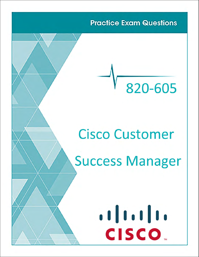**Practice Exam Questions** 

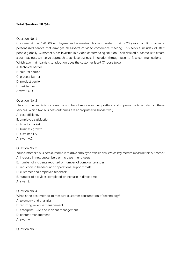## **Total Question: 50 QAs**

Question No: 1

Customer A has 120.000 employees and a meeting booking system that is 20 years old. It provides a personalized service that arranges all aspects of video conference meeting. This service includes 21 staff people globally. Customer A has invested in a video conferencing solution. Their desired outcome is to create a cost-savings, self-serve approach to achieve business innovation through face-to-face communications. Which two main barriers to adoption does the customer face? (Choose two.)

- A. technical barrier
- B. cultural barrier
- C. process barrier
- D. product barrier
- E. cost barrier

Answer: C,D

## Question No: 2

The customer wants to increase the number of services in their portfolio and improve the time to launch these services. Which two business outcomes are appropriate? (Choose two.)

- A. cost efficiency
- B. employee satisfaction
- C. time to market
- D. business growth
- E. sustainability
- Answer: A,C

## Question No: 3

Your customer's business outcome is to drive employee efficiencies. Which key metrics measure this outcome?

- A. increase in new subscribers or increase in end users
- B. number of incidents reported or number of compliance issues
- C. reduction in headcount or operational support costs
- D. customer and employee feedback
- E. number of activities completed or increase in direct time
- Answer: E

## Question No: 4

What is the best method to measure customer consumption of technology?

- A. telemetry and analytics
- B. recurring revenue management
- C. enterprise CRM and incident management
- D. content management

Answer: A

Question No: 5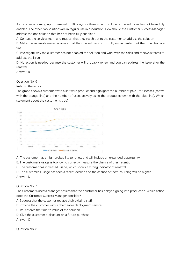A customer is coming up for renewal in 180 days for three solutions. One of the solutions has not been fully enabled. The other two solutions are in regular use in production. How should the Customer Success Manager address the one solution that has not been fully enabled?

A. Contact the services team and request that they reach out to the customer to address the solution

B. Make the renewals manager aware that the one solution is not fully implemented but the other two are fine

C. Investigate why the customer has not enabled the solution and work with the sales and renewals teams to address the issue

D. No action is needed because the customer will probably renew and you can address the issue after the renewal

Answer: B

Question No: 6

Refer to the exhibit.

The graph shows a customer with a software product and highlights the number of paid- for licenses (shown with the orange line) and the number of users actively using the product (shown with the blue line). Which statement about the customer is true?



A. The customer has a high probability to renew and will include an expanded opportunity

B. The customer's usage is too low to correctly measure the chance of their retention

C. The customer has increased usage, which shows a strong indicator of renewal

D. The customer's usage has seen a recent decline and the chance of them churning will be higher Answer: D

Question No: 7

The Customer Success Manager notices that their customer has delayed going into production. Which action does the Customer Success Manager consider?

- A. Suggest that the customer replace their existing staff
- B. Provide the customer with a chargeable deployment service
- C. Re-enforce the time to value of the solution
- D. Give the customer a discount on a future purchase

Answer: C

Question No: 8